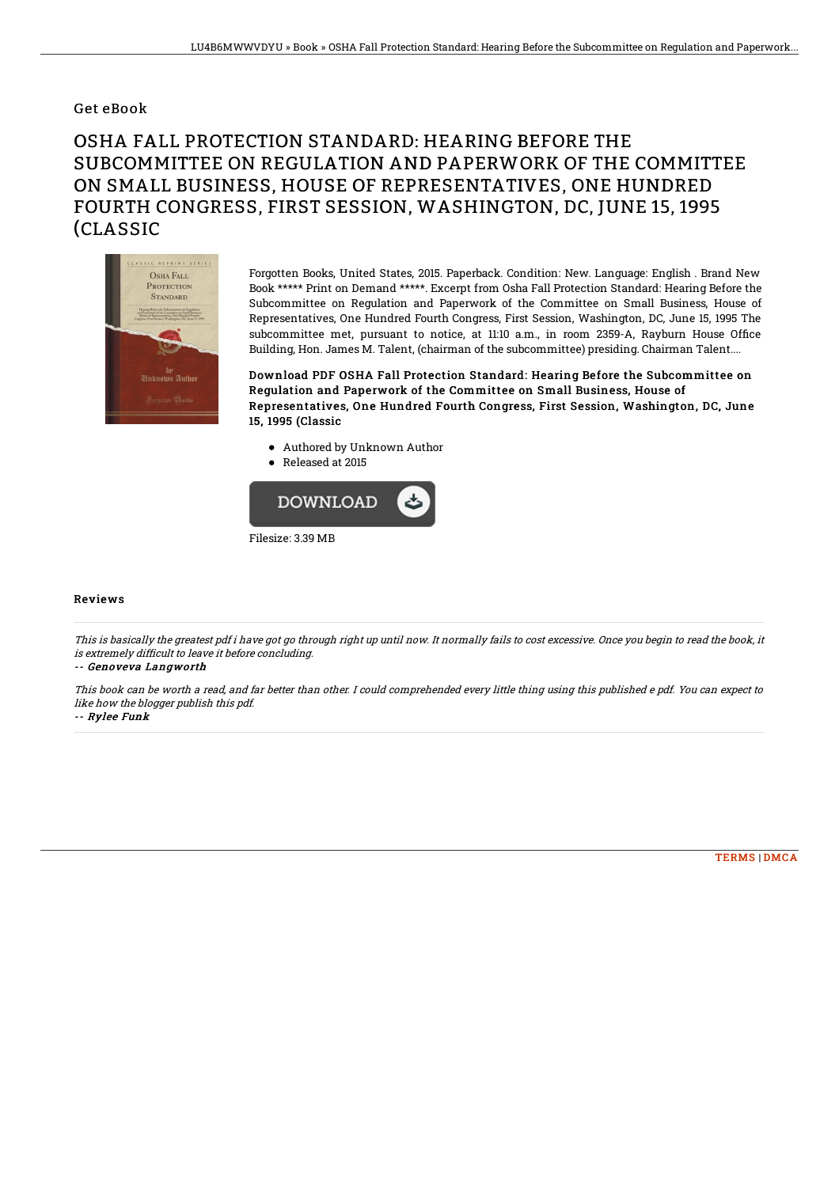### Get eBook

# OSHA FALL PROTECTION STANDARD: HEARING BEFORE THE SUBCOMMITTEE ON REGULATION AND PAPERWORK OF THE COMMITTEE ON SMALL BUSINESS, HOUSE OF REPRESENTATIVES, ONE HUNDRED FOURTH CONGRESS, FIRST SESSION, WASHINGTON, DC, JUNE 15, 1995 (CLASSIC



Forgotten Books, United States, 2015. Paperback. Condition: New. Language: English . Brand New Book \*\*\*\*\* Print on Demand \*\*\*\*\*. Excerpt from Osha Fall Protection Standard: Hearing Before the Subcommittee on Regulation and Paperwork of the Committee on Small Business, House of Representatives, One Hundred Fourth Congress, First Session, Washington, DC, June 15, 1995 The subcommittee met, pursuant to notice, at 11:10 a.m., in room 2359-A, Rayburn House Office Building, Hon. James M. Talent, (chairman of the subcommittee) presiding. Chairman Talent....

Download PDF OSHA Fall Protection Standard: Hearing Before the Subcommittee on Regulation and Paperwork of the Committee on Small Business, House of Representatives, One Hundred Fourth Congress, First Session, Washington, DC, June 15, 1995 (Classic

- Authored by Unknown Author
- Released at 2015



#### Reviews

This is basically the greatest pdf i have got go through right up until now. It normally fails to cost excessive. Once you begin to read the book, it is extremely difficult to leave it before concluding.

#### -- Genoveva Langworth

This book can be worth <sup>a</sup> read, and far better than other. I could comprehended every little thing using this published <sup>e</sup> pdf. You can expect to like how the blogger publish this pdf.

-- Rylee Funk